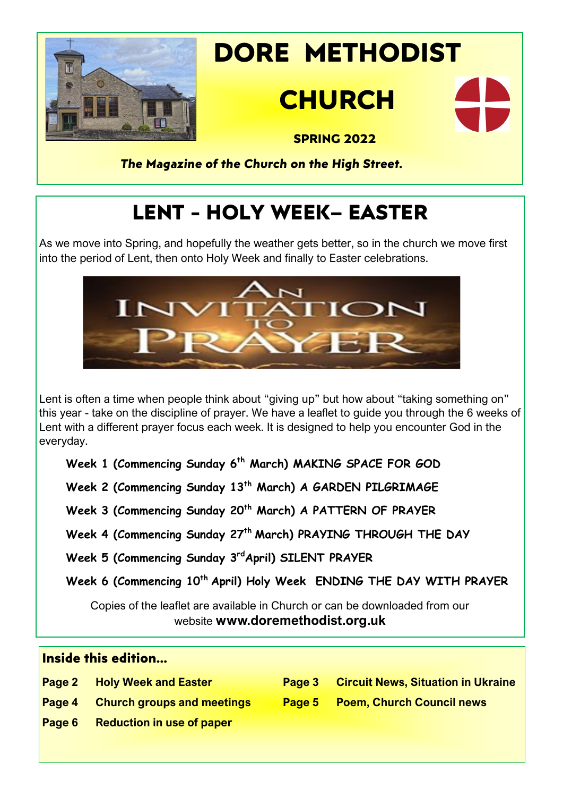

# **DORE METHODIST**

# **CHURCH**



 **SPRING 2022**

*The Magazine of the Church on the High Street.*

## **LENT - HOLY WEEK– EASTER**

As we move into Spring, and hopefully the weather gets better, so in the church we move first into the period of Lent, then onto Holy Week and finally to Easter celebrations.



Lent is often a time when people think about "giving up" but how about "taking something on" this year - take on the discipline of prayer. We have a leaflet to guide you through the 6 weeks of Lent with a different prayer focus each week. It is designed to help you encounter God in the everyday.

**Week 1 (Commencing Sunday 6th March) MAKING SPACE FOR GOD**

**Week 2 (Commencing Sunday 13th March) A GARDEN PILGRIMAGE**

**Week 3 (Commencing Sunday 20th March) A PATTERN OF PRAYER**

**Week 4 (Commencing Sunday 27th March) PRAYING THROUGH THE DAY**

**Week 5 (Commencing Sunday 3rdApril) SILENT PRAYER**

**Week 6 (Commencing 10th April) Holy Week ENDING THE DAY WITH PRAYER**

Copies of the leaflet are available in Church or can be downloaded from our website **www.doremethodist.org.uk**

| Inside this edition |                                    |        |                                           |  |
|---------------------|------------------------------------|--------|-------------------------------------------|--|
|                     | <b>Page 2 Holy Week and Easter</b> | Page 3 | <b>Circuit News, Situation in Ukraine</b> |  |
| Page 4              | <b>Church groups and meetings</b>  |        | Page 5 Poem, Church Council news          |  |
| Page 6              | <b>Reduction in use of paper</b>   |        |                                           |  |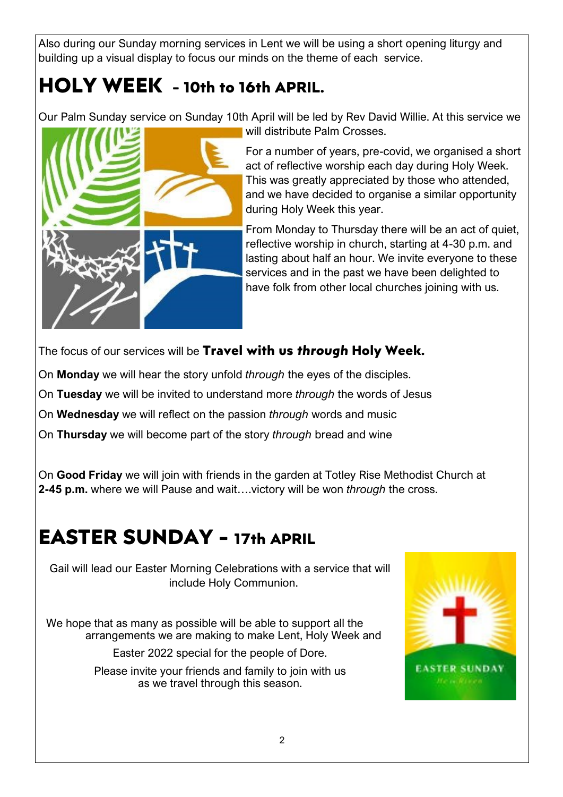Also during our Sunday morning services in Lent we will be using a short opening liturgy and building up a visual display to focus our minds on the theme of each service.

### **HOLY WEEK - 10th to 16th APRIL.**

Our Palm Sunday service on Sunday 10th April will be led by Rev David Willie. At this service we



will distribute Palm Crosses.

For a number of years, pre-covid, we organised a short act of reflective worship each day during Holy Week. This was greatly appreciated by those who attended, and we have decided to organise a similar opportunity during Holy Week this year.

From Monday to Thursday there will be an act of quiet, reflective worship in church, starting at 4-30 p.m. and lasting about half an hour. We invite everyone to these services and in the past we have been delighted to have folk from other local churches joining with us.

The focus of our services will be **Travel with us** *through* **Holy Week.**

On **Monday** we will hear the story unfold *through* the eyes of the disciples.

On **Tuesday** we will be invited to understand more *through* the words of Jesus

On **Wednesday** we will reflect on the passion *through* words and music

On **Thursday** we will become part of the story *through* bread and wine

On **Good Friday** we will join with friends in the garden at Totley Rise Methodist Church at **2-45 p.m.** where we will Pause and wait….victory will be won *through* the cross.

### **EASTER SUNDAY - 17th APRIL**

Gail will lead our Easter Morning Celebrations with a service that will include Holy Communion.

We hope that as many as possible will be able to support all the arrangements we are making to make Lent, Holy Week and

Easter 2022 special for the people of Dore.

Please invite your friends and family to join with us as we travel through this season.

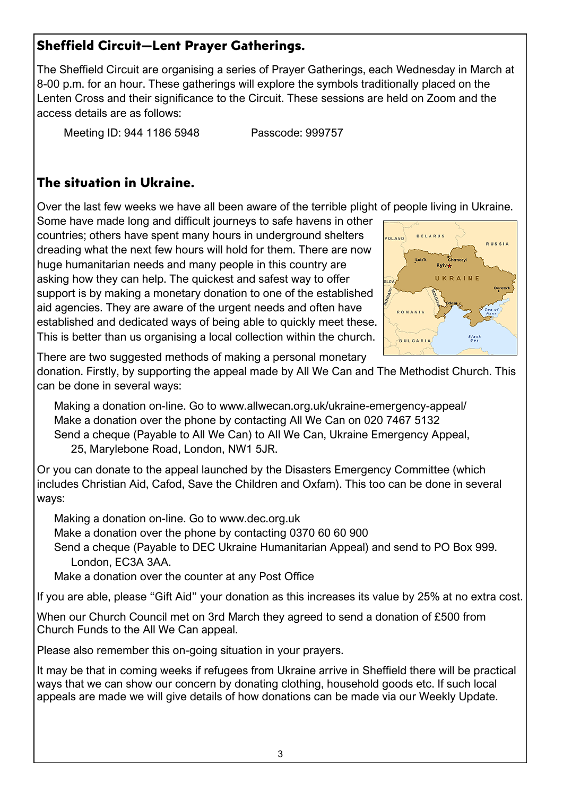#### **Sheffield Circuit—Lent Prayer Gatherings.**

The Sheffield Circuit are organising a series of Prayer Gatherings, each Wednesday in March at 8-00 p.m. for an hour. These gatherings will explore the symbols traditionally placed on the Lenten Cross and their significance to the Circuit. These sessions are held on Zoom and the access details are as follows:

Meeting ID: 944 1186 5948 Passcode: 999757

#### **The situation in Ukraine.**

Over the last few weeks we have all been aware of the terrible plight of people living in Ukraine.

Some have made long and difficult journeys to safe havens in other countries; others have spent many hours in underground shelters dreading what the next few hours will hold for them. There are now huge humanitarian needs and many people in this country are asking how they can help. The quickest and safest way to offer support is by making a monetary donation to one of the established aid agencies. They are aware of the urgent needs and often have established and dedicated ways of being able to quickly meet these. This is better than us organising a local collection within the church.



There are two suggested methods of making a personal monetary

donation. Firstly, by supporting the appeal made by All We Can and The Methodist Church. This can be done in several ways:

Making a donation on-line. Go to [www.allwecan.org.uk/ukraine](http://www.allwecan.org.uk/ukraine-emergency-appeal/)-emergency-appeal/ Make a donation over the phone by contacting All We Can on 020 7467 5132 Send a cheque (Payable to All We Can) to All We Can, Ukraine Emergency Appeal, 25, Marylebone Road, London, NW1 5JR.

Or you can donate to the appeal launched by the Disasters Emergency Committee (which includes Christian Aid, Cafod, Save the Children and Oxfam). This too can be done in several ways:

Making a donation on-line. Go to www.dec.org.uk

Make a donation over the phone by contacting 0370 60 60 900

Send a cheque (Payable to DEC Ukraine Humanitarian Appeal) and send to PO Box 999. London, EC3A 3AA.

Make a donation over the counter at any Post Office

If you are able, please "Gift Aid" your donation as this increases its value by 25% at no extra cost.

When our Church Council met on 3rd March they agreed to send a donation of £500 from Church Funds to the All We Can appeal.

Please also remember this on-going situation in your prayers.

It may be that in coming weeks if refugees from Ukraine arrive in Sheffield there will be practical ways that we can show our concern by donating clothing, household goods etc. If such local appeals are made we will give details of how donations can be made via our Weekly Update.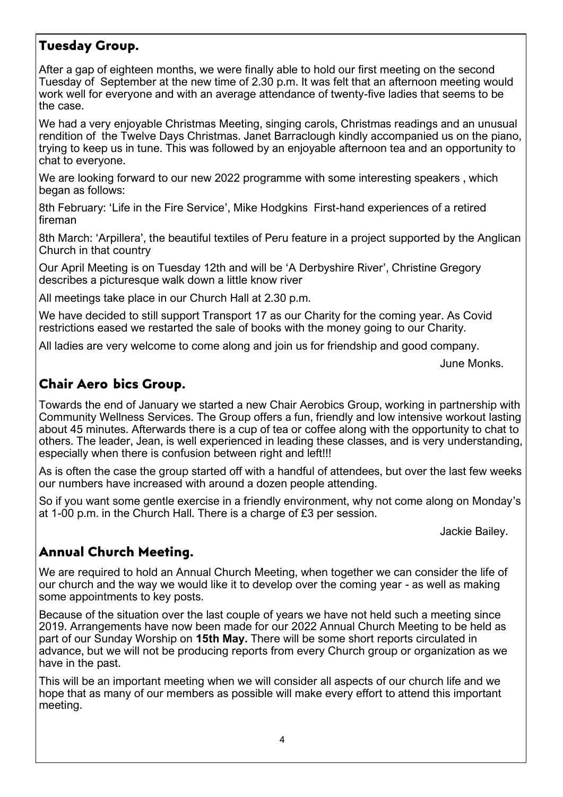#### **Tuesday Group.**

After a gap of eighteen months, we were finally able to hold our first meeting on the second Tuesday of September at the new time of 2.30 p.m. It was felt that an afternoon meeting would work well for everyone and with an average attendance of twenty-five ladies that seems to be the case.

We had a very enjoyable Christmas Meeting, singing carols, Christmas readings and an unusual rendition of the Twelve Days Christmas. Janet Barraclough kindly accompanied us on the piano, trying to keep us in tune. This was followed by an enjoyable afternoon tea and an opportunity to chat to everyone.

We are looking forward to our new 2022 programme with some interesting speakers , which began as follows:

8th February: 'Life in the Fire Service', Mike Hodgkins First-hand experiences of a retired fireman

8th March: 'Arpillera', the beautiful textiles of Peru feature in a project supported by the Anglican Church in that country

Our April Meeting is on Tuesday 12th and will be 'A Derbyshire River', Christine Gregory describes a picturesque walk down a little know river

All meetings take place in our Church Hall at 2.30 p.m.

We have decided to still support Transport 17 as our Charity for the coming year. As Covid restrictions eased we restarted the sale of books with the money going to our Charity.

All ladies are very welcome to come along and join us for friendship and good company.

June Monks.

#### **Chair Aero bics Group.**

Towards the end of January we started a new Chair Aerobics Group, working in partnership with Community Wellness Services. The Group offers a fun, friendly and low intensive workout lasting about 45 minutes. Afterwards there is a cup of tea or coffee along with the opportunity to chat to others. The leader, Jean, is well experienced in leading these classes, and is very understanding, especially when there is confusion between right and left!!!

As is often the case the group started off with a handful of attendees, but over the last few weeks our numbers have increased with around a dozen people attending.

So if you want some gentle exercise in a friendly environment, why not come along on Monday's at 1-00 p.m. in the Church Hall. There is a charge of £3 per session.

Jackie Bailey.

#### **Annual Church Meeting.**

We are required to hold an Annual Church Meeting, when together we can consider the life of our church and the way we would like it to develop over the coming year - as well as making some appointments to key posts.

Because of the situation over the last couple of years we have not held such a meeting since 2019. Arrangements have now been made for our 2022 Annual Church Meeting to be held as part of our Sunday Worship on **15th May.** There will be some short reports circulated in advance, but we will not be producing reports from every Church group or organization as we have in the past.

This will be an important meeting when we will consider all aspects of our church life and we hope that as many of our members as possible will make every effort to attend this important meeting.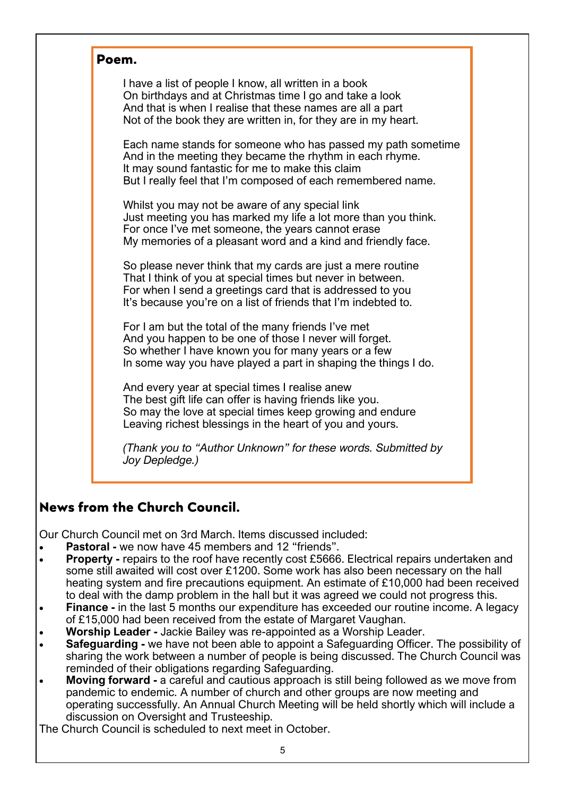| Poem.                                                                                                                                                                                                                                                    |  |  |  |  |
|----------------------------------------------------------------------------------------------------------------------------------------------------------------------------------------------------------------------------------------------------------|--|--|--|--|
| I have a list of people I know, all written in a book<br>On birthdays and at Christmas time I go and take a look<br>And that is when I realise that these names are all a part<br>Not of the book they are written in, for they are in my heart.         |  |  |  |  |
| Each name stands for someone who has passed my path sometime<br>And in the meeting they became the rhythm in each rhyme.<br>It may sound fantastic for me to make this claim<br>But I really feel that I'm composed of each remembered name.             |  |  |  |  |
| Whilst you may not be aware of any special link<br>Just meeting you has marked my life a lot more than you think.<br>For once I've met someone, the years cannot erase<br>My memories of a pleasant word and a kind and friendly face.                   |  |  |  |  |
| So please never think that my cards are just a mere routine<br>That I think of you at special times but never in between.<br>For when I send a greetings card that is addressed to you<br>It's because you're on a list of friends that I'm indebted to. |  |  |  |  |
| For I am but the total of the many friends I've met<br>And you happen to be one of those I never will forget.<br>So whether I have known you for many years or a few<br>In some way you have played a part in shaping the things I do.                   |  |  |  |  |
| And every year at special times I realise anew<br>The best gift life can offer is having friends like you.<br>So may the love at special times keep growing and endure<br>Leaving richest blessings in the heart of you and yours.                       |  |  |  |  |
| (Thank you to "Author Unknown" for these words. Submitted by<br>Joy Depledge.)                                                                                                                                                                           |  |  |  |  |

#### **News from the Church Council.**

Our Church Council met on 3rd March. Items discussed included:

- **Pastoral -** we now have 45 members and 12 "friends".
- **Property -** repairs to the roof have recently cost £5666. Electrical repairs undertaken and some still awaited will cost over £1200. Some work has also been necessary on the hall heating system and fire precautions equipment. An estimate of £10,000 had been received to deal with the damp problem in the hall but it was agreed we could not progress this.
- **Finance -** in the last 5 months our expenditure has exceeded our routine income. A legacy of £15,000 had been received from the estate of Margaret Vaughan.
- **Worship Leader -** Jackie Bailey was re-appointed as a Worship Leader.
- **Safeguarding -** we have not been able to appoint a Safeguarding Officer. The possibility of sharing the work between a number of people is being discussed. The Church Council was reminded of their obligations regarding Safeguarding.
- **Moving forward -** a careful and cautious approach is still being followed as we move from pandemic to endemic. A number of church and other groups are now meeting and operating successfully. An Annual Church Meeting will be held shortly which will include a discussion on Oversight and Trusteeship.

The Church Council is scheduled to next meet in October.